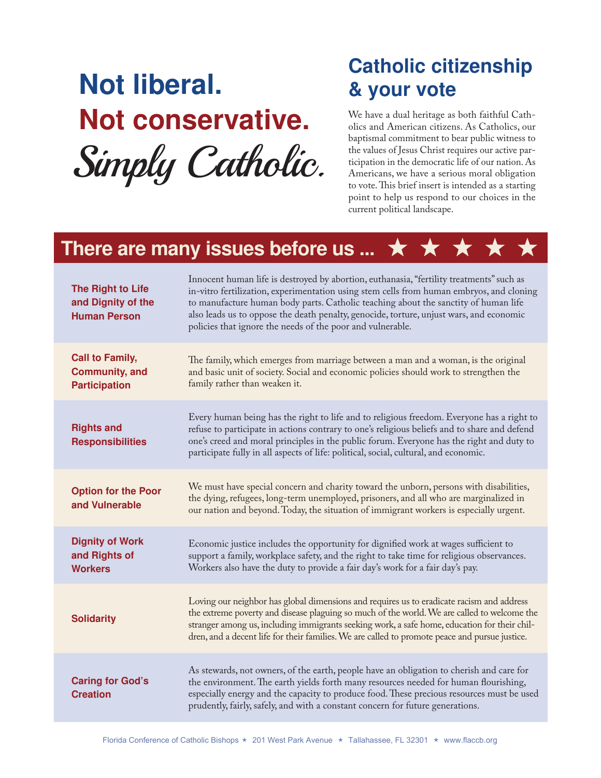# **Not liberal. Not conservative.** Simply Catholic.

## **Catholic citizenship & your vote**

We have a dual heritage as both faithful Catholics and American citizens. As Catholics, our baptismal commitment to bear public witness to the values of Jesus Christ requires our active participation in the democratic life of our nation. As Americans, we have a serious moral obligation to vote. This brief insert is intended as a starting point to help us respond to our choices in the current political landscape.

#### **There are many issues before us ... ★**

| The Right to Life<br>and Dignity of the<br><b>Human Person</b>          | Innocent human life is destroyed by abortion, euthanasia, "fertility treatments" such as<br>in-vitro fertilization, experimentation using stem cells from human embryos, and cloning<br>to manufacture human body parts. Catholic teaching about the sanctity of human life<br>also leads us to oppose the death penalty, genocide, torture, unjust wars, and economic<br>policies that ignore the needs of the poor and vulnerable. |
|-------------------------------------------------------------------------|--------------------------------------------------------------------------------------------------------------------------------------------------------------------------------------------------------------------------------------------------------------------------------------------------------------------------------------------------------------------------------------------------------------------------------------|
| <b>Call to Family,</b><br><b>Community, and</b><br><b>Participation</b> | The family, which emerges from marriage between a man and a woman, is the original<br>and basic unit of society. Social and economic policies should work to strengthen the<br>family rather than weaken it.                                                                                                                                                                                                                         |
| <b>Rights and</b><br><b>Responsibilities</b>                            | Every human being has the right to life and to religious freedom. Everyone has a right to<br>refuse to participate in actions contrary to one's religious beliefs and to share and defend<br>one's creed and moral principles in the public forum. Everyone has the right and duty to<br>participate fully in all aspects of life: political, social, cultural, and economic.                                                        |
| <b>Option for the Poor</b><br>and Vulnerable                            | We must have special concern and charity toward the unborn, persons with disabilities,<br>the dying, refugees, long-term unemployed, prisoners, and all who are marginalized in<br>our nation and beyond. Today, the situation of immigrant workers is especially urgent.                                                                                                                                                            |
| <b>Dignity of Work</b><br>and Rights of<br><b>Workers</b>               | Economic justice includes the opportunity for dignified work at wages sufficient to<br>support a family, workplace safety, and the right to take time for religious observances.<br>Workers also have the duty to provide a fair day's work for a fair day's pay.                                                                                                                                                                    |
| <b>Solidarity</b>                                                       | Loving our neighbor has global dimensions and requires us to eradicate racism and address<br>the extreme poverty and disease plaguing so much of the world. We are called to welcome the<br>stranger among us, including immigrants seeking work, a safe home, education for their chil-<br>dren, and a decent life for their families. We are called to promote peace and pursue justice.                                           |
| <b>Caring for God's</b><br><b>Creation</b>                              | As stewards, not owners, of the earth, people have an obligation to cherish and care for<br>the environment. The earth yields forth many resources needed for human flourishing,<br>especially energy and the capacity to produce food. These precious resources must be used<br>prudently, fairly, safely, and with a constant concern for future generations.                                                                      |